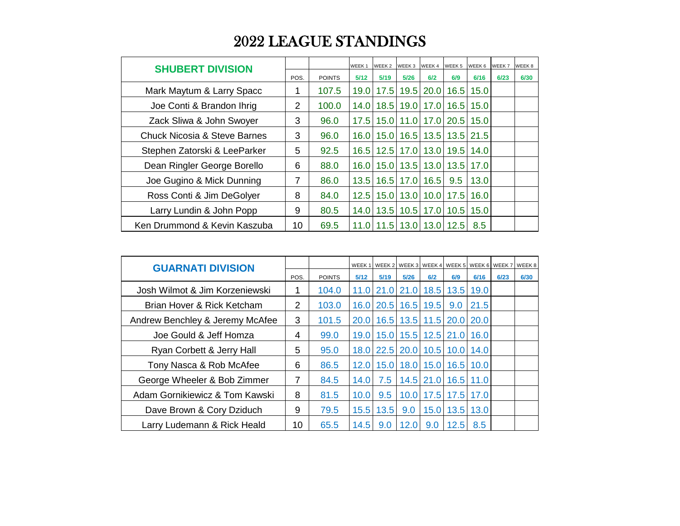## 2022 LEAGUE STANDINGS

| <b>SHUBERT DIVISION</b>      |      |               | WEEK <sub>1</sub> | WEEK 2 WEEK 3 |           | WEEK 4                    | WEEK 5                    | WEEK 6 | WEEK 7 | WEEK 8 |
|------------------------------|------|---------------|-------------------|---------------|-----------|---------------------------|---------------------------|--------|--------|--------|
|                              | POS. | <b>POINTS</b> | 5/12              | 5/19          | 5/26      | 6/2                       | 6/9                       | 6/16   | 6/23   | 6/30   |
| Mark Maytum & Larry Spacc    |      | 107.5         | 19.0              | 17.5          | 19.5      | 20.0                      | 16.5                      | 15.0   |        |        |
| Joe Conti & Brandon Ihrig    | 2    | 100.0         | 14.0              |               |           | 18.5 19.0 17.0            | 16.5                      | 15.0   |        |        |
| Zack Sliwa & John Swoyer     | 3    | 96.0          | 17.5              |               |           |                           | 15.0   11.0   17.0   20.5 | 15.0   |        |        |
| Chuck Nicosia & Steve Barnes | 3    | 96.0          | 16.0              |               |           |                           | 15.0   16.5   13.5   13.5 | 21.5   |        |        |
| Stephen Zatorski & LeeParker | 5    | 92.5          | 16.5              |               | 12.5 17.0 |                           | 13.0 19.5                 | 14.0   |        |        |
| Dean Ringler George Borello  | 6    | 88.0          | 16.0              |               |           | 15.0   13.5   13.0   13.5 |                           | 17.0   |        |        |
| Joe Gugino & Mick Dunning    | 7    | 86.0          | 13.5              |               |           | 16.5   17.0   16.5        | 9.5                       | 13.0   |        |        |
| Ross Conti & Jim DeGolyer    | 8    | 84.0          | 12.5              |               |           | 15.0   13.0   10.0   17.5 |                           | 16.0   |        |        |
| Larry Lundin & John Popp     | 9    | 80.5          | 14.0              |               |           |                           | 13.5   10.5   17.0   10.5 | 15.0   |        |        |
| Ken Drummond & Kevin Kaszuba | 10   | 69.5          | 11.0              |               |           | 11.5   13.0   13.0   12.5 |                           | 8.5    |        |        |

| <b>GUARNATI DIVISION</b>        |                |               |      |                |                   |             | WEEK 1   WEEK 2   WEEK 3   WEEK 4   WEEK 5   WEEK 6   WEEK 7   WEEK 8 |             |      |      |
|---------------------------------|----------------|---------------|------|----------------|-------------------|-------------|-----------------------------------------------------------------------|-------------|------|------|
|                                 | POS.           | <b>POINTS</b> | 5/12 | 5/19           | 5/26              | 6/2         | 6/9                                                                   | 6/16        | 6/23 | 6/30 |
| Josh Wilmot & Jim Korzeniewski  | 1              | 104.0         | 11.0 |                | 21.0 21.0         | 18.5        | 13.5                                                                  | 19.0        |      |      |
| Brian Hover & Rick Ketcham      | $\overline{2}$ | 103.0         |      | 16.0 20.5 16.5 |                   | 19.5        | 9.0                                                                   | 21.5        |      |      |
| Andrew Benchley & Jeremy McAfee | 3              | 101.5         |      |                |                   |             | 20.0 16.5 13.5 11.5 20.0 20.0                                         |             |      |      |
| Joe Gould & Jeff Homza          | 4              | 99.0          |      |                |                   |             | 19.0 15.0 15.5 12.5 21.0 16.0                                         |             |      |      |
| Ryan Corbett & Jerry Hall       | 5              | 95.0          |      | 18.0 22.5 20.0 |                   |             | 10.5 10.0 14.0                                                        |             |      |      |
| Tony Nasca & Rob McAfee         | 6              | 86.5          |      | 12.0 15.0 18.0 |                   |             | 15.0 16.5 10.0                                                        |             |      |      |
| George Wheeler & Bob Zimmer     | 7              | 84.5          | 14.0 | 7.5            |                   | $14.5$ 21.0 |                                                                       | $16.5$ 11.0 |      |      |
| Adam Gornikiewicz & Tom Kawski  | 8              | 81.5          | 10.0 | 9.5            | 10.0 <sub>1</sub> | 17.5        |                                                                       | 17.5 17.0   |      |      |
| Dave Brown & Cory Dziduch       | 9              | 79.5          |      | 15.5 13.5      | 9.0               | 15.0        |                                                                       | 13.5 13.0   |      |      |
| Larry Ludemann & Rick Heald     | 10             | 65.5          | 14.5 | 9.0            | 12.0              | 9.0         | 12.5                                                                  | 8.5         |      |      |